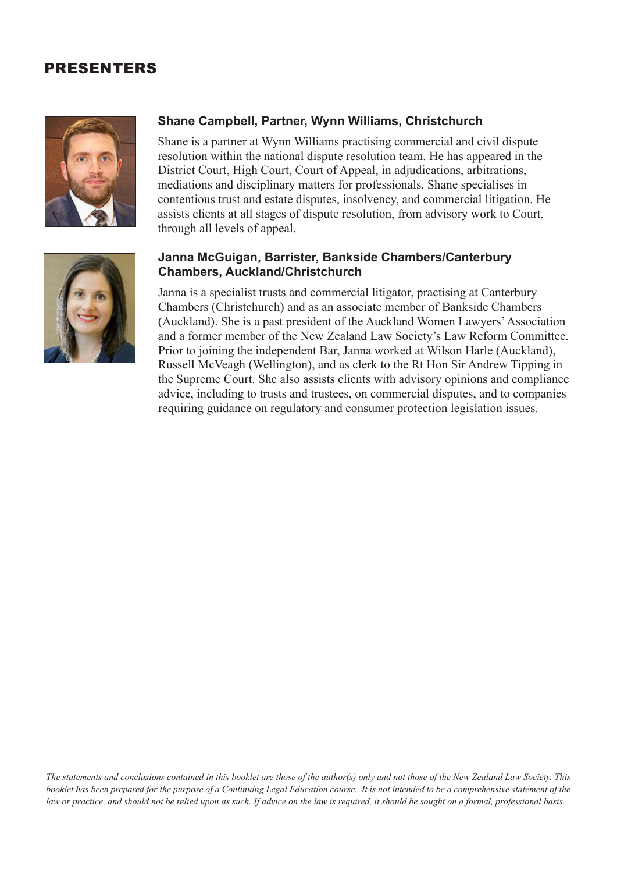## PRESENTERS



## **Shane Campbell, Partner, Wynn Williams, Christchurch**

Shane is a partner at Wynn Williams practising commercial and civil dispute resolution within the national dispute resolution team. He has appeared in the District Court, High Court, Court of Appeal, in adjudications, arbitrations, mediations and disciplinary matters for professionals. Shane specialises in contentious trust and estate disputes, insolvency, and commercial litigation. He assists clients at all stages of dispute resolution, from advisory work to Court, through all levels of appeal.

## **Janna McGuigan, Barrister, Bankside Chambers/Canterbury Chambers, Auckland/Christchurch** Janna is a specialist trusts and commercial litigator, practising at Canterbury

Chambers (Christchurch) and as an associate member of Bankside Chambers (Auckland). She is a past president of the Auckland Women Lawyers' Association and a former member of the New Zealand Law Society's Law Reform Committee. Prior to joining the independent Bar, Janna worked at Wilson Harle (Auckland), Russell McVeagh (Wellington), and as clerk to the Rt Hon Sir Andrew Tipping in the Supreme Court. She also assists clients with advisory opinions and compliance advice, including to trusts and trustees, on commercial disputes, and to companies requiring guidance on regulatory and consumer protection legislation issues.